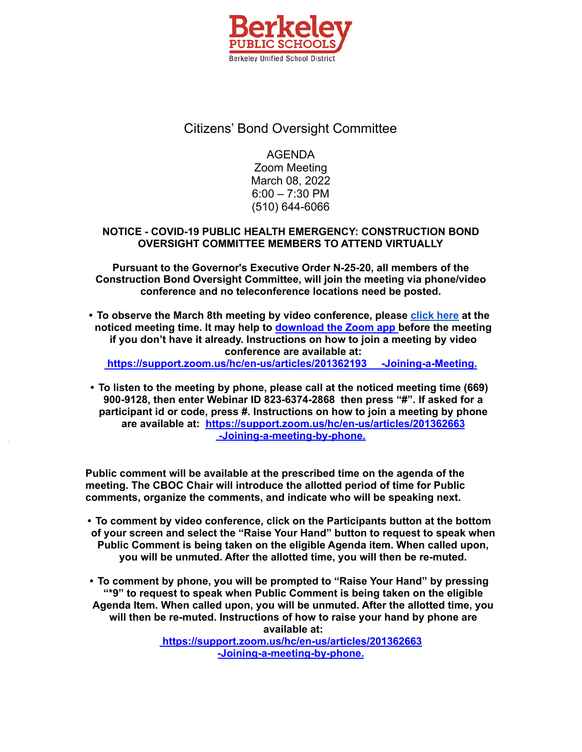

## Citizens' Bond Oversight Committee

AGENDA Zoom Meeting March 08, 2022 6:00 – 7:30 PM (510) 644-6066

## **NOTICE - COVID-19 PUBLIC HEALTH EMERGENCY: CONSTRUCTION BOND OVERSIGHT COMMITTEE MEMBERS TO ATTEND VIRTUALLY**

**Pursuant to the Governor's Executive Order N-25-20, all members of the Construction Bond Oversight Committee, will join the meeting via phone/video conference and no teleconference locations need be posted.**

**• To observe the March 8th meeting by video conference, please [click](https://berkeley-net.zoom.us/j/82363742868?pwd=L1dDakI4RDFPNDA3amQ5aHF0NzZqdz09) here at the noticed meeting time. It may help to [download](https://zoom.us/support/download) the Zoom app before the meeting if you don't have it already. Instructions on how to join a meeting by video conference are available at:**

**<https://support.zoom.us/hc/en-us/articles/201362193> -Joining-a-Meeting.**

**• To listen to the meeting by phone, please call at the noticed meeting time (669) 900-9128, then enter Webinar ID 823-6374-2868 then press "#". If asked for a participant id or code, press #. Instructions on how to join a meeting by phone are available at: <https://support.zoom.us/hc/en-us/articles/201362663> [-Joining-a-meeting-by-phone.](https://support.zoom.us/hc/en-us/articles/201362663)**

**Public comment will be available at the prescribed time on the agenda of the meeting. The CBOC Chair will introduce the allotted period of time for Public comments, organize the comments, and indicate who will be speaking next.**

**• To comment by video conference, click on the Participants button at the bottom of your screen and select the "Raise Your Hand" button to request to speak when Public Comment is being taken on the eligible Agenda item. When called upon, you will be unmuted. After the allotted time, you will then be re-muted.**

**• To comment by phone, you will be prompted to "Raise Your Hand" by pressing "\*9" to request to speak when Public Comment is being taken on the eligible Agenda Item. When called upon, you will be unmuted. After the allotted time, you will then be re-muted. Instructions of how to raise your hand by phone are available at: <https://support.zoom.us/hc/en-us/articles/201362663>**

**[-Joining-a-meeting-by-phone.](https://support.zoom.us/hc/en-us/articles/201362663)**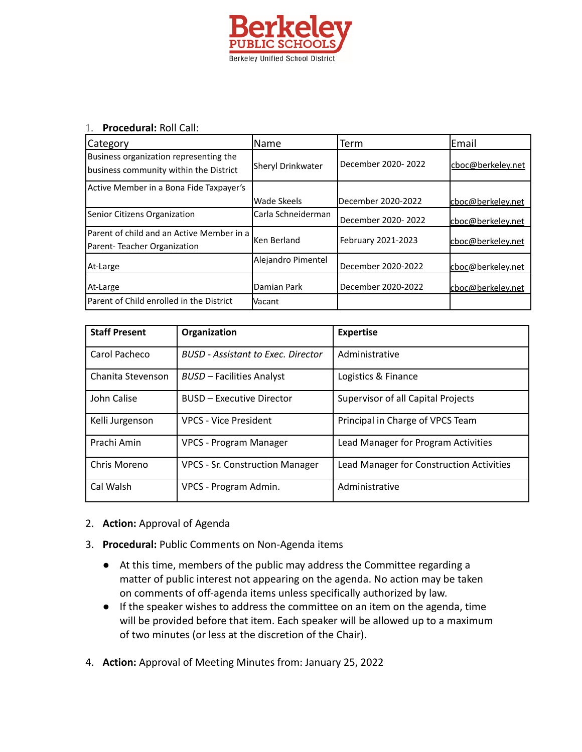

## 1. **Procedural:** Roll Call:

| <b>Category</b>                                                                  | lName              | Term               | lEmail            |
|----------------------------------------------------------------------------------|--------------------|--------------------|-------------------|
| Business organization representing the<br>business community within the District | Sheryl Drinkwater  | December 2020-2022 | cboc@berkeley.net |
| Active Member in a Bona Fide Taxpayer's                                          |                    |                    |                   |
|                                                                                  | Wade Skeels        | December 2020-2022 | cboc@berkeley.net |
| Senior Citizens Organization                                                     | Carla Schneiderman | December 2020-2022 | cboc@berkeley.net |
| lParent of child and an Active Member in a<br>Parent-Teacher Organization        | lKen Berland       | February 2021-2023 | cboc@berkeley.net |
| At-Large                                                                         | Alejandro Pimentel | December 2020-2022 | cboc@berkeley.net |
| At-Large                                                                         | Damian Park        | December 2020-2022 | cboc@berkeley.net |
| Parent of Child enrolled in the District                                         | <b>Vacant</b>      |                    |                   |

| <b>Staff Present</b> | Organization                           | <b>Expertise</b>                         |
|----------------------|----------------------------------------|------------------------------------------|
| Carol Pacheco        | BUSD - Assistant to Exec. Director     | Administrative                           |
| Chanita Stevenson    | <b>BUSD - Facilities Analyst</b>       | Logistics & Finance                      |
| John Calise          | <b>BUSD - Executive Director</b>       | Supervisor of all Capital Projects       |
| Kelli Jurgenson      | <b>VPCS - Vice President</b>           | Principal in Charge of VPCS Team         |
| Prachi Amin          | <b>VPCS - Program Manager</b>          | Lead Manager for Program Activities      |
| Chris Moreno         | <b>VPCS - Sr. Construction Manager</b> | Lead Manager for Construction Activities |
| Cal Walsh            | VPCS - Program Admin.                  | Administrative                           |

- 2. **Action:** Approval of Agenda
- 3. **Procedural:** Public Comments on Non-Agenda items
	- At this time, members of the public may address the Committee regarding a matter of public interest not appearing on the agenda. No action may be taken on comments of off-agenda items unless specifically authorized by law.
	- If the speaker wishes to address the committee on an item on the agenda, time will be provided before that item. Each speaker will be allowed up to a maximum of two minutes (or less at the discretion of the Chair).
- 4. **Action:** Approval of Meeting Minutes from: January 25, 2022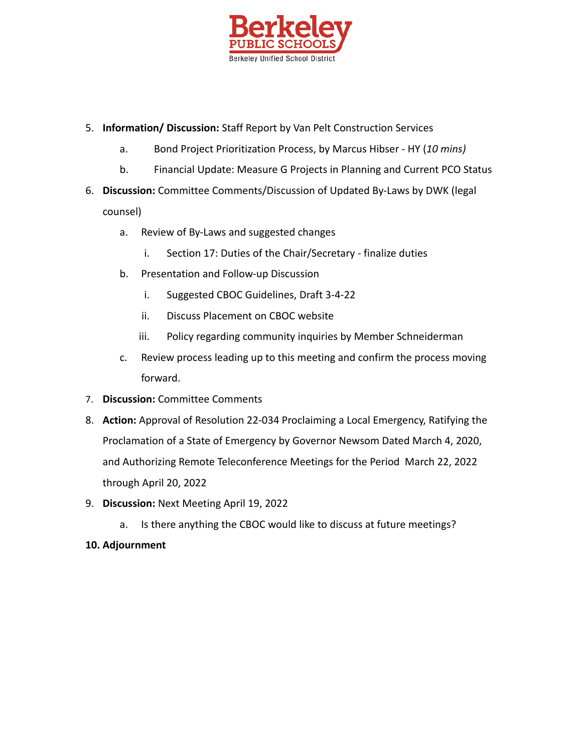

- 5. **Information/ Discussion:** Staff Report by Van Pelt Construction Services
	- a. Bond Project Prioritization Process, by Marcus Hibser HY (*10 mins)*
	- b. Financial Update: Measure G Projects in Planning and Current PCO Status
- 6. **Discussion:** Committee Comments/Discussion of Updated By-Laws by DWK (legal counsel)
	- a. Review of By-Laws and suggested changes
		- i. Section 17: Duties of the Chair/Secretary finalize duties
	- b. Presentation and Follow-up Discussion
		- i. Suggested CBOC Guidelines, Draft 3-4-22
		- ii. Discuss Placement on CBOC website
		- iii. Policy regarding community inquiries by Member Schneiderman
	- c. Review process leading up to this meeting and confirm the process moving forward.
- 7. **Discussion:** Committee Comments
- 8. **Action:** Approval of Resolution 22-034 Proclaiming a Local Emergency, Ratifying the Proclamation of a State of Emergency by Governor Newsom Dated March 4, 2020, and Authorizing Remote Teleconference Meetings for the Period March 22, 2022 through April 20, 2022
- 9. **Discussion:** Next Meeting April 19, 2022
	- a. Is there anything the CBOC would like to discuss at future meetings?
- **10. Adjournment**